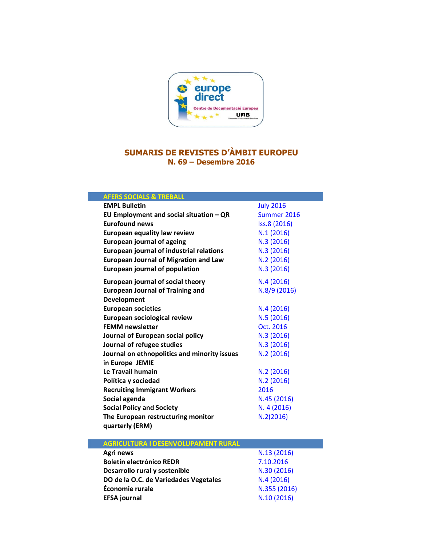

## SUMARIS DE REVISTES D'ÀMBIT EUROPEU N. 69 – Desembre 2016

| <b>AFERS SOCIALS &amp; TREBALL</b>              |                  |
|-------------------------------------------------|------------------|
| <b>EMPL Bulletin</b>                            | <b>July 2016</b> |
| EU Employment and social situation $-QR$        | Summer 2016      |
| <b>Eurofound news</b>                           | Iss.8 (2016)     |
| European equality law review                    | N.1(2016)        |
| <b>European journal of ageing</b>               | N.3 (2016)       |
| <b>European journal of industrial relations</b> | N.3 (2016)       |
| <b>European Journal of Migration and Law</b>    | N.2(2016)        |
| European journal of population                  | N.3 (2016)       |
| European journal of social theory               | N.4(2016)        |
| <b>European Journal of Training and</b>         | N.8/9 (2016)     |
| Development                                     |                  |
| <b>European societies</b>                       | N.4(2016)        |
| European sociological review                    | N.5 (2016)       |
| <b>FEMM newsletter</b>                          | Oct. 2016        |
| Journal of European social policy               | N.3 (2016)       |
| Journal of refugee studies                      | N.3 (2016)       |
| Journal on ethnopolitics and minority issues    | N.2 (2016)       |
| in Europe JEMIE                                 |                  |
| Le Travail humain                               | N.2(2016)        |
| Política y sociedad                             | N.2(2016)        |
| <b>Recruiting Immigrant Workers</b>             | 2016             |
| Social agenda                                   | N.45 (2016)      |
| <b>Social Policy and Society</b>                | N. 4 (2016)      |
| The European restructuring monitor              | N.2(2016)        |
| quarterly (ERM)                                 |                  |
| <b>AGRICULTURA I DESENVOLUPAMENT RURAL</b>      |                  |
| Agri news                                       | N.13 (2016)      |
| <b>Boletín electrónico REDR</b>                 | 7.10.2016        |
| Desarrollo rural y sostenible                   | N.30 (2016)      |
| DO de la O.C. de Variedades Vegetales           | N.4(2016)        |
|                                                 |                  |

DO de la O.C. de Variedades Vegetales  $N.4$  [\(2016\)](http://www.cairn.info/revue-economie-rurale-2016-5.htm)<br>
Economie rurale  $N.355$  (2016) Economie rurale N.355 [\(2016\)](http://onlinelibrary.wiley.com/doi/10.1002/efs2.2016.14.issue-10/issuetoc)<br>EFSA journal N.10 (2016)

EFSA journal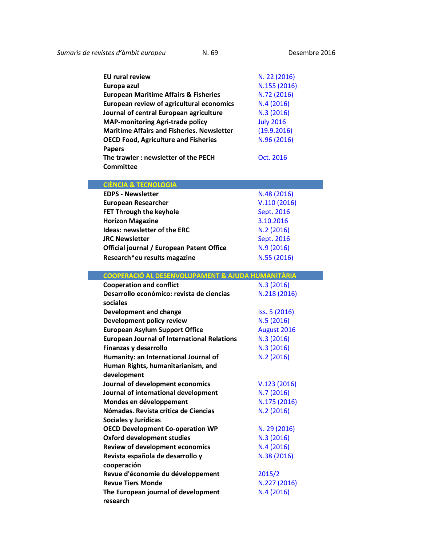| <b>EU rural review</b>                            | N. 22 (2016)     |
|---------------------------------------------------|------------------|
| Europa azul                                       | N.155 (2016)     |
| <b>European Maritime Affairs &amp; Fisheries</b>  | N.72 (2016)      |
| European review of agricultural economics         | N.4(2016)        |
| Journal of central European agriculture           | N.3 (2016)       |
| <b>MAP-monitoring Agri-trade policy</b>           | <b>July 2016</b> |
| <b>Maritime Affairs and Fisheries. Newsletter</b> | (19.9.2016)      |
| <b>OECD Food, Agriculture and Fisheries</b>       | N.96 (2016)      |
| <b>Papers</b>                                     |                  |
| The trawler: newsletter of the PECH               | Oct. 2016        |
| <b>Committee</b>                                  |                  |

## CIÈNCIA & TECNOLOGIA

| <b>EDPS - Newsletter</b>                         | N.48 (2016) |
|--------------------------------------------------|-------------|
| <b>European Researcher</b>                       | V.110(2016) |
| FET Through the keyhole                          | Sept. 2016  |
| <b>Horizon Magazine</b>                          | 3.10.2016   |
| Ideas: newsletter of the ERC                     | N.2 (2016)  |
| <b>JRC Newsletter</b>                            | Sept. 2016  |
| <b>Official journal / European Patent Office</b> | N.9 (2016)  |
| Research*eu results magazine                     | N.55 (2016) |

| COOPERACIÓ AL DESENVOLUPAMENT & AJUDA HUMANITÀRIA  |               |
|----------------------------------------------------|---------------|
| <b>Cooperation and conflict</b>                    | N.3(2016)     |
| Desarrollo económico: revista de ciencias          | N.218 (2016)  |
| sociales                                           |               |
| <b>Development and change</b>                      | Iss. 5 (2016) |
| Development policy review                          | N.5 (2016)    |
| <b>European Asylum Support Office</b>              | August 2016   |
| <b>European Journal of International Relations</b> | N.3 (2016)    |
| Finanzas y desarrollo                              | N.3 (2016)    |
| Humanity: an International Journal of              | N.2 (2016)    |
| Human Rights, humanitarianism, and                 |               |
| development                                        |               |
| Journal of development economics                   | V.123(2016)   |
| Journal of international development               | N.7 (2016)    |
| Mondes en développement                            | N.175 (2016)  |
| Nómadas, Revista crítica de Ciencias               | N.2 (2016)    |
| Sociales y Jurídicas                               |               |
| <b>OECD Development Co-operation WP</b>            | N. 29 (2016)  |
| <b>Oxford development studies</b>                  | N.3 (2016)    |
| <b>Review of development economics</b>             | N.4 (2016)    |
| Revista española de desarrollo y                   | N.38 (2016)   |
| cooperación                                        |               |
| Revue d'économie du développement                  | 2015/2        |
| <b>Revue Tiers Monde</b>                           | N.227 (2016)  |
| The European journal of development                | N.4 (2016)    |
| research                                           |               |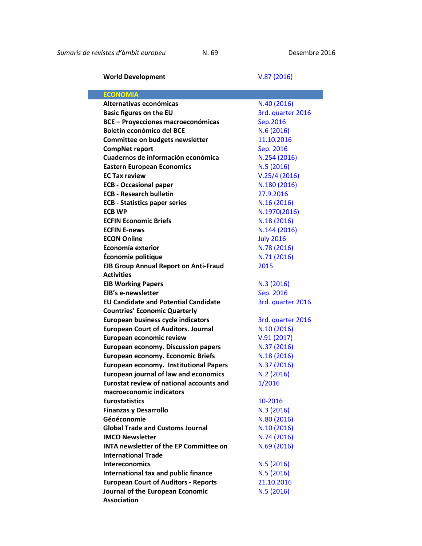World Development V.87 [\(2016\)](http://alternativaseconomicas.coop/secciones/dossier)

| <b>ECONOMIA</b>                                 |                   |
|-------------------------------------------------|-------------------|
| Alternativas económicas                         | N.40 (2016)       |
| <b>Basic figures on the EU</b>                  | 3rd. quarter 2016 |
| <b>BCE - Proyecciones macroeconómicas</b>       | Sep.2016          |
| Boletín económico del BCE                       | N.6(2016)         |
| Committee on budgets newsletter                 | 11.10.2016        |
| <b>CompNet report</b>                           | Sep. 2016         |
| Cuadernos de información económica              | N.254 (2016)      |
| <b>Eastern European Economics</b>               | N.5 (2016)        |
| <b>EC Tax review</b>                            | V.25/4(2016)      |
| <b>ECB - Occasional paper</b>                   | N.180 (2016)      |
| <b>ECB - Research bulletin</b>                  | 27.9.2016         |
| <b>ECB - Statistics paper series</b>            | N.16 (2016)       |
| <b>ECB WP</b>                                   | N.1970(2016)      |
| <b>ECFIN Economic Briefs</b>                    | N.18 (2016)       |
| <b>ECFIN E-news</b>                             | N.144 (2016)      |
| <b>ECON Online</b>                              | <b>July 2016</b>  |
| Economía exterior                               | N.78 (2016)       |
| Économie politique                              | N.71 (2016)       |
| <b>EIB Group Annual Report on Anti-Fraud</b>    | 2015              |
| <b>Activities</b>                               |                   |
| <b>EIB Working Papers</b>                       | N.3 (2016)        |
| EIB's e-newsletter                              | Sep. 2016         |
| <b>EU Candidate and Potential Candidate</b>     | 3rd. quarter 2016 |
| <b>Countries' Economic Quarterly</b>            |                   |
| European business cycle indicators              | 3rd. quarter 2016 |
| <b>European Court of Auditors. Journal</b>      | N.10 (2016)       |
| European economic review                        | V.91(2017)        |
| <b>European economy. Discussion papers</b>      | N.37 (2016)       |
| <b>European economy. Economic Briefs</b>        | N.18 (2016)       |
| <b>European economy. Institutional Papers</b>   | N.37 (2016)       |
| <b>European journal of law and economics</b>    | N.2 (2016)        |
| <b>Eurostat review of national accounts and</b> | 1/2016            |
| macroeconomic indicators                        |                   |
| <b>Eurostatistics</b>                           | 10-2016           |
| <b>Finanzas y Desarrollo</b>                    | N.3 (2016)        |
| Géoéconomie                                     | N.80 (2016)       |
| <b>Global Trade and Customs Journal</b>         | N.10 (2016)       |
| <b>IMCO Newsletter</b>                          | N.74 (2016)       |
| <b>INTA newsletter of the EP Committee on</b>   | N.69 (2016)       |
| <b>International Trade</b>                      |                   |
| <b>Intereconomics</b>                           | N.5(2016)         |
| International tax and public finance            | N.5(2016)         |
| <b>European Court of Auditors - Reports</b>     | 21.10.2016        |
| Journal of the European Economic                | N.5(2016)         |
| <b>Association</b>                              |                   |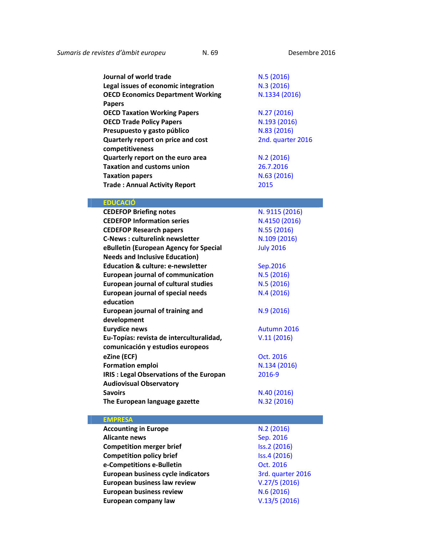| Journal of world trade                         | N.5(2016)         |
|------------------------------------------------|-------------------|
| Legal issues of economic integration           | N.3 (2016)        |
| <b>OECD Economics Department Working</b>       | N.1334 (2016)     |
|                                                |                   |
| <b>Papers</b>                                  |                   |
| <b>OECD Taxation Working Papers</b>            | N.27 (2016)       |
| <b>OECD Trade Policy Papers</b>                | N.193 (2016)      |
| Presupuesto y gasto público                    | N.83 (2016)       |
| Quarterly report on price and cost             | 2nd. quarter 2016 |
| competitiveness                                |                   |
| Quarterly report on the euro area              | N.2(2016)         |
| <b>Taxation and customs union</b>              | 26.7.2016         |
| <b>Taxation papers</b>                         | N.63 (2016)       |
| <b>Trade: Annual Activity Report</b>           | 2015              |
|                                                |                   |
| <b>EDUCACIÓ</b>                                |                   |
| <b>CEDEFOP Briefing notes</b>                  | N. 9115 (2016)    |
| <b>CEDEFOP Information series</b>              | N.4150 (2016)     |
| <b>CEDEFOP Research papers</b>                 | N.55 (2016)       |
| <b>C-News: culturelink newsletter</b>          | N.109 (2016)      |
| eBulletin (European Agency for Special         | <b>July 2016</b>  |
| <b>Needs and Inclusive Education)</b>          |                   |
| <b>Education &amp; culture: e-newsletter</b>   | Sep.2016          |
| <b>European journal of communication</b>       | N.5(2016)         |
| <b>European journal of cultural studies</b>    | N.5(2016)         |
| <b>European journal of special needs</b>       | N.4(2016)         |
| education                                      |                   |
| <b>European journal of training and</b>        | N.9 (2016)        |
| development                                    |                   |
| <b>Eurydice news</b>                           | Autumn 2016       |
| Eu-Topías: revista de interculturalidad,       | V.11(2016)        |
| comunicación y estudios europeos               |                   |
| eZine (ECF)                                    |                   |
|                                                | Oct. 2016         |
| <b>Formation emploi</b>                        | N.134 (2016)      |
| <b>IRIS: Legal Observations of the Europan</b> | 2016-9            |
| <b>Audiovisual Observatory</b>                 |                   |
| <b>Savoirs</b>                                 | N.40 (2016)       |
| The European language gazette                  | N.32 (2016)       |
|                                                |                   |
| <b>EMPRESA</b>                                 |                   |
| <b>Accounting in Europe</b>                    | N.2(2016)         |
| <b>Alicante news</b>                           | Sep. 2016         |
| <b>Competition merger brief</b>                | Iss.2 (2016)      |
| <b>Competition policy brief</b>                | Iss.4 (2016)      |
| e-Competitions e-Bulletin                      | Oct. 2016         |
| European business cycle indicators             | 3rd. quarter 2016 |
| European business law review                   | V.27/5(2016)      |
| <b>European business review</b>                | N.6(2016)         |
| European company law                           | V.13/5(2016)      |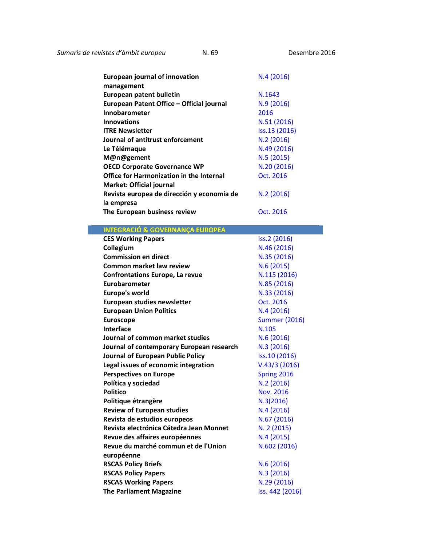*Sumaris de revistes d'àmbit europeu* N. 69 [De](http://www.emeraldinsight.com/toc/ejim/19/4)sembre 2016

۰

| <b>European journal of innovation</b><br>management | N.4(2016)     |
|-----------------------------------------------------|---------------|
| European patent bulletin                            | N.1643        |
| European Patent Office - Official journal           | N.9(2016)     |
| Innobarometer                                       | 2016          |
| <b>Innovations</b>                                  | N.51 (2016)   |
| <b>ITRE Newsletter</b>                              | Iss.13 (2016) |
| Journal of antitrust enforcement                    | N.2(2016)     |
| Le Télémaque                                        | N.49 (2016)   |
| M@n@gement                                          | N.5(2015)     |
| <b>OECD Corporate Governance WP</b>                 | N.20 (2016)   |
| <b>Office for Harmonization in the Internal</b>     | Oct. 2016     |
| Market: Official journal                            |               |
| Revista europea de dirección y economía de          | N.2(2016)     |
| la empresa                                          |               |
| The European business review                        | Oct. 2016     |
|                                                     |               |

| <b>INTEGRACIÓ &amp; GOVERNANÇA EUROPEA</b> |                      |
|--------------------------------------------|----------------------|
| <b>CES Working Papers</b>                  | Iss.2 (2016)         |
| Collegium                                  | N.46 (2016)          |
| <b>Commission en direct</b>                | N.35 (2016)          |
| Common market law review                   | N.6 (2015)           |
| <b>Confrontations Europe, La revue</b>     | N.115 (2016)         |
| Eurobarometer                              | N.85 (2016)          |
| <b>Europe's world</b>                      | N.33 (2016)          |
| European studies newsletter                | Oct. 2016            |
| <b>European Union Politics</b>             | N.4 (2016)           |
| <b>Euroscope</b>                           | <b>Summer (2016)</b> |
| <b>Interface</b>                           | N.105                |
| Journal of common market studies           | N.6 (2016)           |
| Journal of contemporary European research  | N.3 (2016)           |
| Journal of European Public Policy          | Iss.10 (2016)        |
| Legal issues of economic integration       | V.43/3(2016)         |
| <b>Perspectives on Europe</b>              | Spring 2016          |
| Política y sociedad                        | N.2 (2016)           |
| <b>Politico</b>                            | Nov. 2016            |
| Politique étrangère                        | N.3(2016)            |
| <b>Review of European studies</b>          | N.4 (2016)           |
| Revista de estudios europeos               | N.67 (2016)          |
| Revista electrónica Cátedra Jean Monnet    | N. 2 (2015)          |
| Revue des affaires européennes             | N.4 (2015)           |
| Revue du marché commun et de l'Union       | N.602 (2016)         |
| européenne                                 |                      |
| <b>RSCAS Policy Briefs</b>                 | N.6 (2016)           |
| <b>RSCAS Policy Papers</b>                 | N.3 (2016)           |
| <b>RSCAS Working Papers</b>                | N.29 (2016)          |
| <b>The Parliament Magazine</b>             | Iss. 442 (2016)      |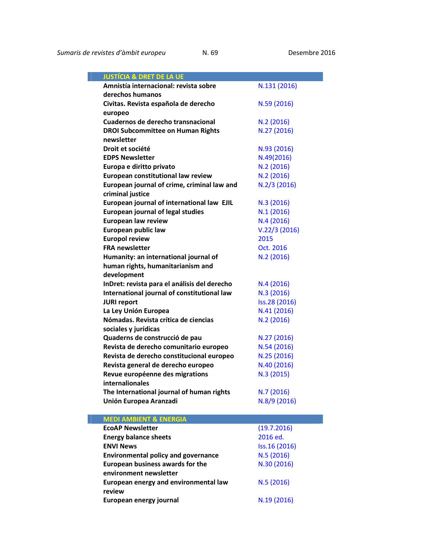| <b>JUSTÍCIA &amp; DRET DE LA UE</b>                                 |                            |
|---------------------------------------------------------------------|----------------------------|
| Amnistía internacional: revista sobre                               | N.131 (2016)               |
| derechos humanos                                                    |                            |
| Civitas. Revista española de derecho                                | N.59 (2016)                |
| europeo                                                             |                            |
| Cuadernos de derecho transnacional                                  | N.2(2016)                  |
| <b>DROI Subcommittee on Human Rights</b>                            | N.27 (2016)                |
| newsletter                                                          |                            |
| Droit et société                                                    | N.93 (2016)                |
| <b>EDPS Newsletter</b>                                              | N.49(2016)                 |
| Europa e diritto privato                                            | N.2(2016)                  |
| European constitutional law review                                  | N.2 (2016)                 |
| European journal of crime, criminal law and                         | $N.2/3$ (2016)             |
| criminal justice                                                    |                            |
| European journal of international law EJIL                          | N.3 (2016)                 |
| <b>European journal of legal studies</b>                            | N.1(2016)                  |
| European law review                                                 | N.4(2016)                  |
| European public law                                                 | V.22/3(2016)               |
| <b>Europol review</b>                                               | 2015                       |
| <b>FRA newsletter</b>                                               | Oct. 2016                  |
| Humanity: an international journal of                               | N.2 (2016)                 |
| human rights, humanitarianism and                                   |                            |
| development                                                         |                            |
| InDret: revista para el análisis del derecho                        | N.4(2016)                  |
| International journal of constitutional law                         | N.3 (2016)                 |
| <b>JURI report</b>                                                  | Iss.28 (2016)              |
| La Ley Unión Europea                                                | N.41 (2016)                |
| Nómadas. Revista crítica de ciencias                                | N.2 (2016)                 |
| sociales y jurídicas                                                |                            |
| Quaderns de construcció de pau                                      | N.27 (2016)                |
| Revista de derecho comunitario europeo                              | N.54(2016)                 |
| Revista de derecho constitucional europeo                           | N.25 (2016)                |
| Revista general de derecho europeo                                  | N.40 (2016)                |
| Revue européenne des migrations                                     | N.3(2015)                  |
| internalionales                                                     |                            |
| The International journal of human rights<br>Unión Europea Aranzadi | N.7 (2016)<br>N.8/9 (2016) |
|                                                                     |                            |
| <b>MEDI AMBIENT &amp; ENERGIA</b>                                   |                            |
| <b>EcoAP Newsletter</b>                                             | (19.7.2016)                |
| <b>Energy balance sheets</b>                                        | 2016 ed.                   |
| <b>ENVI News</b>                                                    | Iss.16 (2016)              |
| <b>Environmental policy and governance</b>                          | N.5 (2016)                 |
| European business awards for the                                    | N.30 (2016)                |
| environment newsletter                                              |                            |
| European energy and environmental law                               | N.5 (2016)                 |
| review                                                              |                            |

European energy journal N.19 (2016)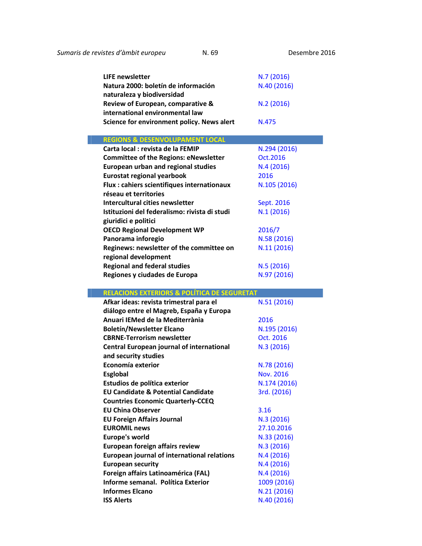۰

| LIFE newsletter<br>Natura 2000: boletín de información                                             | N.7(2016)<br>N.40 (2016) |
|----------------------------------------------------------------------------------------------------|--------------------------|
| naturaleza y biodiversidad<br>Review of European, comparative &<br>international environmental law | N.2(2016)                |
| Science for environment policy. News alert                                                         | N.475                    |
| <b>REGIONS &amp; DESENVOLUPAMENT LOCAL</b>                                                         |                          |
|                                                                                                    |                          |
| Carta local : revista de la FEMIP                                                                  | N.294 (2016)             |
| <b>Committee of the Regions: eNewsletter</b>                                                       | Oct. 2016                |
| European urban and regional studies                                                                | N.4(2016)                |
| <b>Eurostat regional yearbook</b>                                                                  | 2016                     |
| Flux : cahiers scientifiques internationaux                                                        | N.105 (2016)             |
| réseau et territories                                                                              |                          |
| Intercultural cities newsletter                                                                    | Sept. 2016               |

| Tstituzioni del federalismo: rivista di studi | <b>N.1 (2010)</b> |
|-----------------------------------------------|-------------------|
| giuridici e politici                          |                   |
| <b>OECD Regional Development WP</b>           | 2016/7            |
| Panorama inforegio                            | N.58 (2016)       |
| Reginews: newsletter of the committee on      | N.11 (2016)       |
| regional development                          |                   |
| <b>Regional and federal studies</b>           | N.5(2016)         |
| Regiones y ciudades de Europa                 | N.97 (2016)       |
|                                               |                   |

## RELACIONS EXTERIORS & POLÍTICA DE SEGURETAT

| Afkar ideas: revista trimestral para el            | N.51 (2016)  |
|----------------------------------------------------|--------------|
| diálogo entre el Magreb, España y Europa           |              |
| Anuari IEMed de la Mediterrània                    | 2016         |
| <b>Boletín/Newsletter Elcano</b>                   | N.195 (2016) |
| <b>CBRNE-Terrorism newsletter</b>                  | Oct. 2016    |
| Central European journal of international          | N.3 (2016)   |
| and security studies                               |              |
| Economía exterior                                  | N.78 (2016)  |
| <b>Esglobal</b>                                    | Nov. 2016    |
| Estudios de política exterior                      | N.174 (2016) |
| <b>EU Candidate &amp; Potential Candidate</b>      | 3rd. (2016)  |
| <b>Countries Economic Quarterly-CCEQ</b>           |              |
| <b>EU China Observer</b>                           | 3.16         |
| <b>EU Foreign Affairs Journal</b>                  | N.3(2016)    |
| <b>EUROMIL news</b>                                | 27.10.2016   |
| <b>Europe's world</b>                              | N.33 (2016)  |
| European foreign affairs review                    | N.3 (2016)   |
| <b>European journal of international relations</b> | N.4(2016)    |
| <b>European security</b>                           | N.4(2016)    |
| Foreign affairs Latinoamérica (FAL)                | N.4(2016)    |
| Informe semanal. Política Exterior                 | 1009 (2016)  |
| <b>Informes Elcano</b>                             | N.21 (2016)  |
| <b>ISS Alerts</b>                                  | N.40 (2016)  |